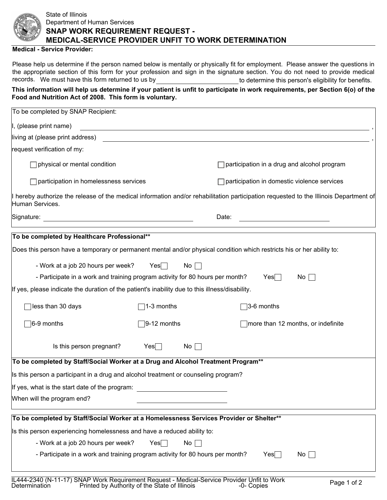

## State of Illinois Department of Human Services **SNAP WORK REQUIREMENT REQUEST - MEDICAL-SERVICE PROVIDER UNFIT TO WORK DETERMINATION**

## **Medical - Service Provider:**

Please help us determine if the person named below is mentally or physically fit for employment. Please answer the questions in the appropriate section of this form for your profession and sign in the signature section. You do not need to provide medical records. We must have this form returned to us by the state of the determine this person's eligibility for benefits.

## **This information will help us determine if your patient is unfit to participate in work requirements, per Section 6(o) of the Food and Nutrition Act of 2008. This form is voluntary.**

| To be completed by SNAP Recipient:                                                                                                                       |                      |    |                                                                    |                                                                                                                  |  |
|----------------------------------------------------------------------------------------------------------------------------------------------------------|----------------------|----|--------------------------------------------------------------------|------------------------------------------------------------------------------------------------------------------|--|
| I, (please print name)                                                                                                                                   |                      |    |                                                                    | and the control of the control of the control of the control of the control of the control of the control of the |  |
| living at (please print address)                                                                                                                         |                      |    |                                                                    | <u> 1989 - Johann Stoff, amerikansk politiker (d. 1989)</u>                                                      |  |
| request verification of my:                                                                                                                              |                      |    |                                                                    |                                                                                                                  |  |
| physical or mental condition                                                                                                                             |                      |    | participation in a drug and alcohol program                        |                                                                                                                  |  |
| participation in homelessness services                                                                                                                   |                      |    | participation in domestic violence services                        |                                                                                                                  |  |
| I hereby authorize the release of the medical information and/or rehabilitation participation requested to the Illinois Department of<br>Human Services. |                      |    |                                                                    |                                                                                                                  |  |
|                                                                                                                                                          |                      |    | Date:<br><u> 1989 - Johann Barn, mars eta bainar eta idazlea (</u> |                                                                                                                  |  |
| To be completed by Healthcare Professional**                                                                                                             |                      |    |                                                                    |                                                                                                                  |  |
| Does this person have a temporary or permanent mental and/or physical condition which restricts his or her ability to:                                   |                      |    |                                                                    |                                                                                                                  |  |
| - Work at a job 20 hours per week?                                                                                                                       | $Yes \Box$           | No |                                                                    |                                                                                                                  |  |
| - Participate in a work and training program activity for 80 hours per month?                                                                            |                      |    |                                                                    | $Yes \Box$<br>$No \ \Box$                                                                                        |  |
| If yes, please indicate the duration of the patient's inability due to this illness/disability.                                                          |                      |    |                                                                    |                                                                                                                  |  |
| less than 30 days                                                                                                                                        | 1-3 months           |    |                                                                    | 3-6 months                                                                                                       |  |
| $\sqrt{6-9}$ months                                                                                                                                      | $\sqrt{9-12}$ months |    |                                                                    | $\Box$ more than 12 months, or indefinite                                                                        |  |
| Is this person pregnant?                                                                                                                                 | $Yes \Box$           | No |                                                                    |                                                                                                                  |  |
| To be completed by Staff/Social Worker at a Drug and Alcohol Treatment Program**                                                                         |                      |    |                                                                    |                                                                                                                  |  |
| Is this person a participant in a drug and alcohol treatment or counseling program?                                                                      |                      |    |                                                                    |                                                                                                                  |  |
| If yes, what is the start date of the program:                                                                                                           |                      |    |                                                                    |                                                                                                                  |  |
| When will the program end?                                                                                                                               |                      |    |                                                                    |                                                                                                                  |  |
| To be completed by Staff/Social Worker at a Homelessness Services Provider or Shelter**                                                                  |                      |    |                                                                    |                                                                                                                  |  |
| Is this person experiencing homelessness and have a reduced ability to:                                                                                  |                      |    |                                                                    |                                                                                                                  |  |
| - Work at a job 20 hours per week?<br>$No \ \Box$<br>$Yes$                                                                                               |                      |    |                                                                    |                                                                                                                  |  |
| - Participate in a work and training program activity for 80 hours per month?                                                                            |                      |    |                                                                    | Yes<br>No                                                                                                        |  |